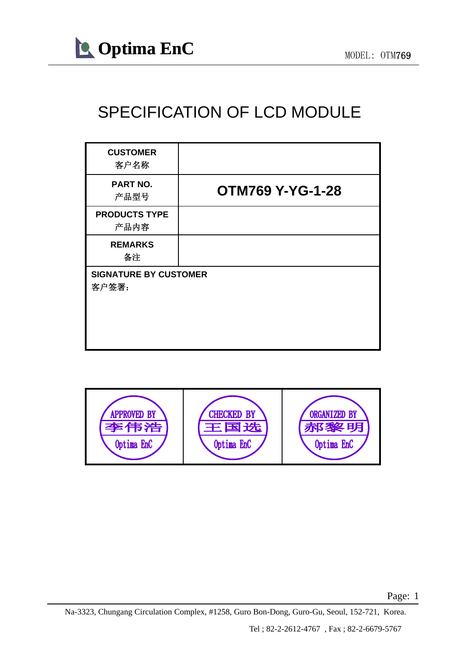

### SPECIFICATION OF LCD MODULE

| <b>CUSTOMER</b><br>客户名称               |                         |
|---------------------------------------|-------------------------|
| <b>PART NO.</b><br>产品型号               | <b>OTM769 Y-YG-1-28</b> |
| <b>PRODUCTS TYPE</b><br>产品内容          |                         |
| <b>REMARKS</b><br>备注                  |                         |
| <b>SIGNATURE BY CUSTOMER</b><br>客户签署: |                         |

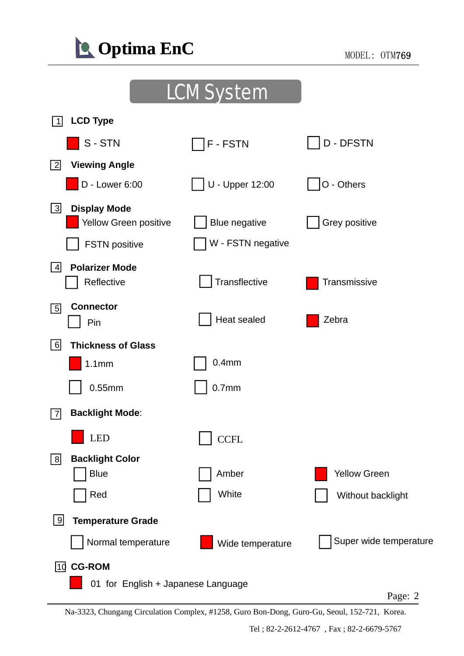

### LCM System

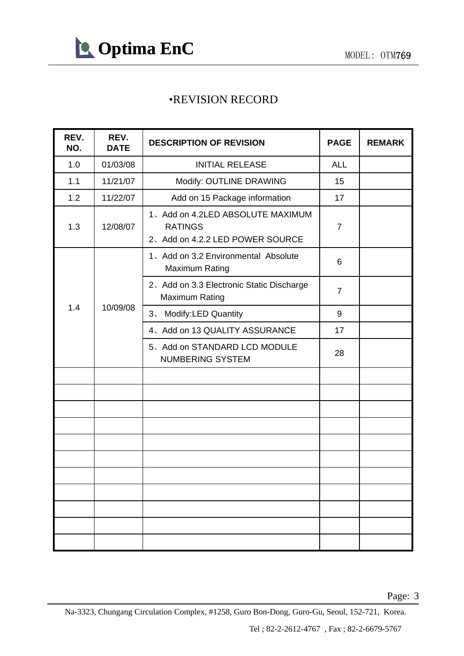

#### REVISION RECORD •REVISION

| REV.<br>NO. | REV.<br><b>DATE</b> | <b>DESCRIPTION OF REVISION</b>                                                        | <b>PAGE</b>    | <b>REMARK</b> |
|-------------|---------------------|---------------------------------------------------------------------------------------|----------------|---------------|
| 1.0         | 01/03/08            | <b>INITIAL RELEASE</b>                                                                | <b>ALL</b>     |               |
| 1.1         | 11/21/07            | Modify: OUTLINE DRAWING                                                               | 15             |               |
| 1.2         | 11/22/07            | Add on 15 Package information                                                         | 17             |               |
| 1.3         | 12/08/07            | 1、Add on 4.2LED ABSOLUTE MAXIMUM<br><b>RATINGS</b><br>2、Add on 4.2.2 LED POWER SOURCE | $\overline{7}$ |               |
|             |                     | 1、Add on 3.2 Environmental Absolute<br><b>Maximum Rating</b>                          | 6              |               |
|             |                     | 2. Add on 3.3 Electronic Static Discharge<br><b>Maximum Rating</b>                    | $\overline{7}$ |               |
| 1.4         | 10/09/08            | <b>Modify:LED Quantity</b><br>3 <sub>1</sub>                                          | 9              |               |
|             |                     | 4、Add on 13 QUALITY ASSURANCE                                                         | 17             |               |
|             |                     | 5、Add on STANDARD LCD MODULE<br><b>NUMBERING SYSTEM</b>                               | 28             |               |
|             |                     |                                                                                       |                |               |
|             |                     |                                                                                       |                |               |
|             |                     |                                                                                       |                |               |
|             |                     |                                                                                       |                |               |
|             |                     |                                                                                       |                |               |
|             |                     |                                                                                       |                |               |
|             |                     |                                                                                       |                |               |
|             |                     |                                                                                       |                |               |
|             |                     |                                                                                       |                |               |
|             |                     |                                                                                       |                |               |
|             |                     |                                                                                       |                |               |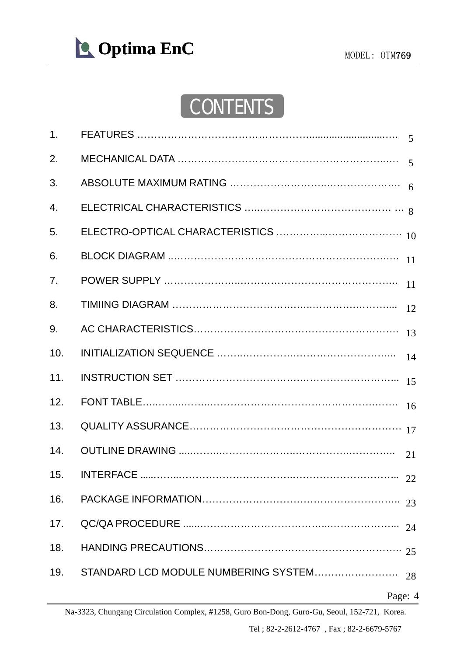

## **CONTENTS**

| 1.  |                  |    |
|-----|------------------|----|
| 2.  |                  |    |
| 3.  |                  |    |
| 4.  |                  |    |
| 5.  |                  |    |
| 6.  |                  |    |
| 7.  |                  |    |
| 8.  |                  | 12 |
| 9.  |                  | 13 |
| 10. |                  | 14 |
| 11. |                  | 15 |
| 12. |                  | 16 |
| 13. |                  |    |
| 14. |                  | 21 |
| 15. | <b>INTERFACE</b> |    |
| 16. |                  |    |
| 17. |                  | 24 |
| 18. |                  |    |
| 19. |                  |    |
|     | Page: 4          |    |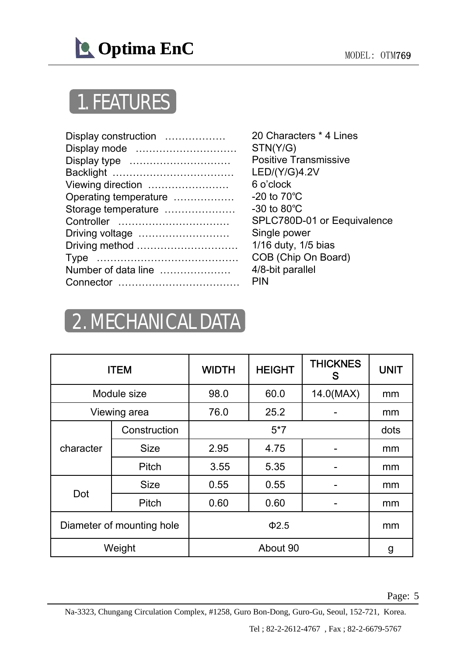

# **1. FEATURES**

| Display construction  | 20 Characters           |
|-----------------------|-------------------------|
| Display mode          | STN(Y/G)                |
| Display type          | <b>Positive Transr</b>  |
|                       | LED/(Y/G)4.2V           |
| Viewing direction     | 6 o'clock               |
| Operating temperature | -20 to $70^{\circ}$ C   |
| Storage temperature   | $-30$ to $80^{\circ}$ C |
|                       | <b>SPLC780D-01</b>      |
| Driving voltage       | Single power            |
| Driving method        | 1/16 duty, 1/5 k        |
|                       | COB (Chip On            |
| Number of data line   | 4/8-bit parallel        |
|                       | <b>PIN</b>              |
|                       |                         |

20 Characters \* 4 Lines STN(Y/G) Positive Transmissive -20 to 70℃ -30 to 80℃ SPLC780D-01 or Eequivalence Single power 1/16 duty, 1/5 bias COB (Chip On Board) 4/8-bit parallel PIN

## 2. MECHANICAL DATA

| <b>ITEM</b>               |              | <b>WIDTH</b> | <b>HEIGHT</b> | <b>THICKNES</b><br>S | <b>UNIT</b> |
|---------------------------|--------------|--------------|---------------|----------------------|-------------|
|                           | Module size  | 98.0<br>60.0 |               | $14.0$ (MAX)         | mm          |
|                           | Viewing area | 76.0         | 25.2          |                      | mm          |
|                           | Construction |              | $5*7$         |                      | dots        |
| character                 | <b>Size</b>  | 2.95         | 4.75          |                      | mm          |
|                           | Pitch        | 3.55         | 5.35          |                      | mm          |
| Dot                       | <b>Size</b>  | 0.55         | 0.55          |                      | mm          |
|                           | Pitch        | 0.60         | 0.60          |                      | mm          |
| Diameter of mounting hole |              |              | $\Phi$ 2.5    |                      | mm          |
|                           | Weight       |              | About 90      |                      | g           |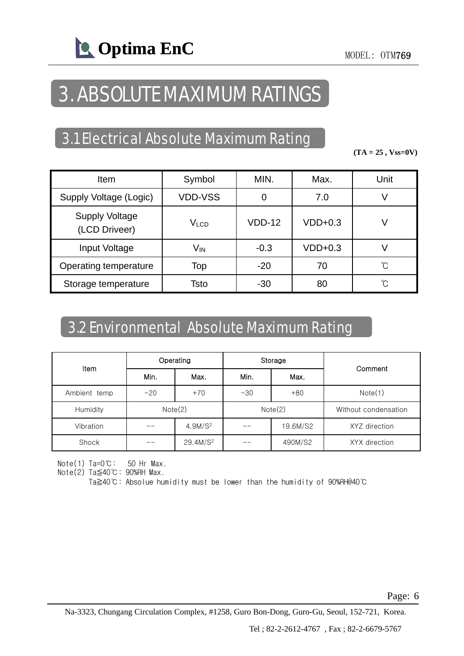## 3 ABSOLUTE MAXIMUM RATINGS 3.

### 3.1 Electrical Absolute Maximum Rating

 $(TA = 25, Vss=0V)$ 

| Item                                   | Symbol           | MIN.     | Max.      | Unit |
|----------------------------------------|------------------|----------|-----------|------|
| Supply Voltage (Logic)                 | <b>VDD-VSS</b>   | 0        | 7.0       | V    |
| <b>Supply Voltage</b><br>(LCD Driveer) | V <sub>LCD</sub> | $VDD-12$ | $VDD+0.3$ | V    |
| Input Voltage                          | V <sub>IN</sub>  | $-0.3$   | $VDD+0.3$ |      |
| Operating temperature                  | Top              | $-20$    | 70        | °C   |
| Storage temperature                    | Tsto             | $-30$    | 80        | °C   |

### 3 2 Environmental Absolute Maximum Rating 3.2

|              |       | Operating            |         | Storage  |                      |  |
|--------------|-------|----------------------|---------|----------|----------------------|--|
| <b>Item</b>  | Min.  | Max.                 | Min.    | Max.     | Comment              |  |
| Ambient temp | $-20$ | $+70$                | $-30$   | $+80$    | Note(1)              |  |
| Humidity     |       | Note(2)              | Note(2) |          | Without condensation |  |
| Vibration    |       | 4.9M/S <sup>2</sup>  |         | 19.6M/S2 | XYZ direction        |  |
| Shock        |       | 29.4M/S <sup>2</sup> |         | 490M/S2  | XYX direction        |  |

Note(1) Ta=0℃: 50 Hr Max.

Note(2)  $Ta \leq 40^{\circ}C$ : 90%RH Max.

Ta≧40℃: Absolue humidity must be lower than the humidity of 90%RH@40℃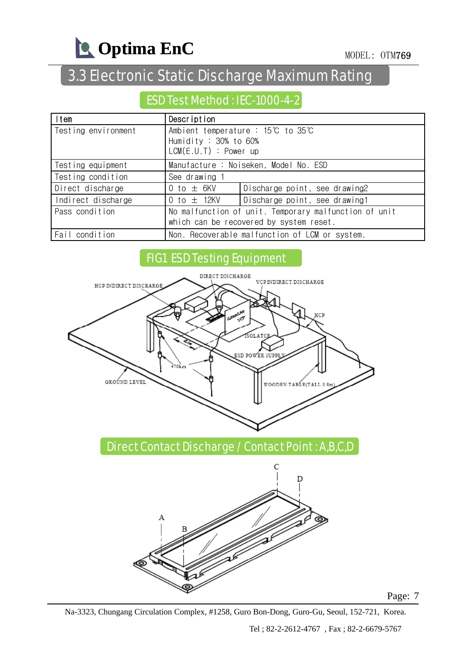

### 3.3 Electronic Static Discharge Maximum Rating

### ESD Test Method : IEC-1000-4-2

| ltem                | Description                                                                                      |                                                |  |  |
|---------------------|--------------------------------------------------------------------------------------------------|------------------------------------------------|--|--|
| Testing environment | Ambient temperature : 15℃ to 35℃<br>Humidity : $30\%$ to $60\%$                                  |                                                |  |  |
|                     | $LCM(E.U.T)$ : Power up                                                                          |                                                |  |  |
| Testing equipment   | Manufacture: Noiseken, Model No. ESD                                                             |                                                |  |  |
| Testing condition   | See drawing 1                                                                                    |                                                |  |  |
| Direct discharge    | 0 to $\pm$ 6KV                                                                                   | Discharge point, see drawing2                  |  |  |
| Indirect discharge  | 0 to $\pm$ 12KV<br>Discharge point, see drawing1                                                 |                                                |  |  |
| Pass condition      | No malfunction of unit. Temporary malfunction of unit<br>which can be recovered by system reset. |                                                |  |  |
| Fail condition      |                                                                                                  | Non. Recoverable malfunction of LCM or system. |  |  |

### FIG1 ESD Testing Equipment



Direct Contact Discharge / Contact Point : A,B,C,D



Page: 7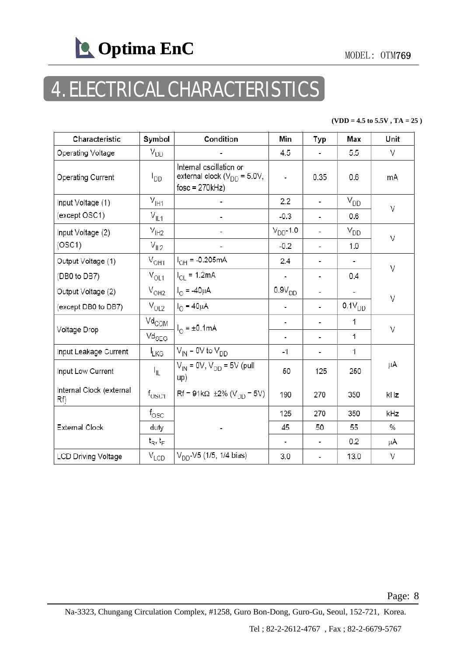

# 4. ELECTRICAL CHARACTERISTICS

#### **(VDD = 4.5 to 5.5V , TA = 25 )**

| Characteristic                 | Symbol                                                | Condition                                                                       | Min           | Typ                      | Max         | Unit |  |
|--------------------------------|-------------------------------------------------------|---------------------------------------------------------------------------------|---------------|--------------------------|-------------|------|--|
| Operating Voltage              | $V_{DD}$                                              |                                                                                 | 4.5           | $\overline{\phantom{0}}$ | 5.5         | V    |  |
| Operating Current              | <b>PDD</b>                                            | Internal oscillation or<br>external clock ( $V_{DD}$ = 5.0V,<br>$fosc = 270kHz$ | ÷.            | 0.35                     | 0.6         | mA   |  |
| Input Voltage (1)              | $V_{\text{I}H1}$                                      |                                                                                 | 2.2           | $\overline{a}$           | $V_{DD}$    | V    |  |
| (except OSC1)                  | $V_{\parallel 1}$                                     |                                                                                 | $-0.3$        | $\overline{\phantom{0}}$ | 0.6         |      |  |
| Input Voltage (2)              | $V_{IH2}$                                             |                                                                                 | $V_{DD}$ -1.0 | $\overline{\phantom{0}}$ | $V_{DD}$    | V    |  |
| (OSC1)                         | $V_{IL2}$                                             |                                                                                 | $-0.2$        | $\overline{\phantom{0}}$ | 1.0         |      |  |
| Output Voltage (1)             | $V_{OH1}$                                             | $I_{OH} = -0.205mA$                                                             | 2.4           | -                        |             | V    |  |
| (DB0 to DB7)                   | $V_{OL1}$                                             | $I_{\text{Cl}} = 1.2 \text{mA}$                                                 |               | $\overline{\phantom{0}}$ | 0.4         |      |  |
| Output Voltage (2)             | $V_{OH2}$                                             | $I_{\odot} = -40 \mu A$                                                         | $0.9V_{DD}$   | -                        |             | V    |  |
| (except DB0 to DB7)            | $V_{OL2}$                                             | $I_{\odot} = 40 \mu A$                                                          |               | $\overline{a}$           | $0.1V_{DD}$ |      |  |
|                                | $\mathrm{Vd}_{\mathrm{COM}}$                          | $I_{\odot}$ = ±0.1mA                                                            |               |                          | 1           |      |  |
| Voltage Drop                   | $\text{Vd}_{\text{SEG}}$                              |                                                                                 | ۰             | $\overline{\phantom{0}}$ | 1           | V    |  |
| Input Leakage Current          | $I_{LKG}$                                             | $V_{\text{IN}}$ = 0V to $V_{\text{DD}}$                                         | -1            | $\overline{\phantom{0}}$ | 1           |      |  |
| Input Low Current              | I <sub>IL</sub>                                       | $V_{IN}$ = 0V, $V_{DD}$ = 5V (pull<br>up)                                       | $-50$         | $-125$                   | $-250$      | μA   |  |
| Internal Clock (external<br>Rf | $\mathsf{f}_{\mathsf{OSC1}}$                          | $Rf = 91k\Omega \pm 2\% (V_{DD} = 5V)$                                          | 190           | 270                      | 350         | kHz  |  |
|                                | $t_{\rm{OSC}}$                                        |                                                                                 | 125           | 270                      | 350         | kHz  |  |
| <b>External Clock</b>          | duty                                                  |                                                                                 | 45            | 50                       | 55          | %    |  |
|                                | $\mathfrak{t}_{\mathsf{R}},\mathfrak{t}_{\mathsf{F}}$ |                                                                                 |               | $\overline{a}$           | 0.2         | μA   |  |
| <b>LCD Driving Voltage</b>     | $V_{LCD}$                                             | $V_{DD}$ -V5 (1/5, 1/4 bias)                                                    | 3.0           | ٠                        | 13.0        | V    |  |

Page: 8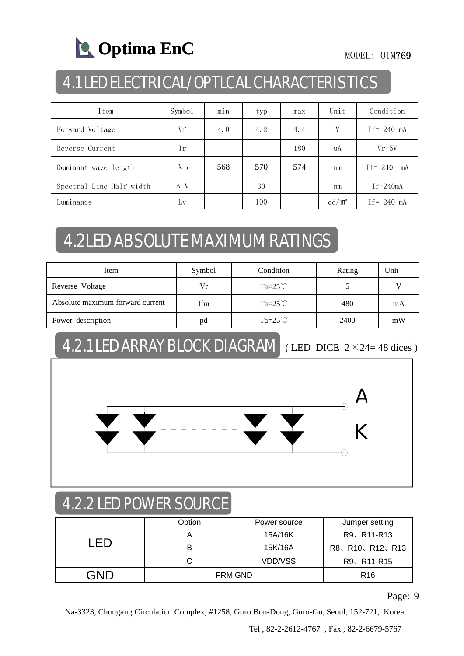

### 4.1 LED ELECTRICAL/OPTLCAL CHARACTERISTICS

| Item                     | Symbol             | min | typ | max | Unit            | Condition       |
|--------------------------|--------------------|-----|-----|-----|-----------------|-----------------|
| Forward Voltage          | Vf                 | 4.0 | 4.2 | 4.4 | V               | $If = 240$ mA   |
| Reverse Current          | Ir                 |     |     | 180 | uA              | $Vr = 5V$       |
| Dominant wave length     | $\lambda$ p        | 568 | 570 | 574 | nm              | If= $240$<br>mA |
| Spectral Line Half width | $\Delta$ $\lambda$ |     | 30  |     | nm              | $If = 240mA$    |
| Luminance                | Lv                 |     | 190 |     | $\text{cd/m}^2$ | If= $240$ mA    |

### 4.2LED ABSOLUTE MAXIMUM RATINGS

| Item                             | Symbol | Condition          | Rating | Unit |
|----------------------------------|--------|--------------------|--------|------|
| Reverse Voltage                  | Vr     | Ta=25 $\degree$ C  |        |      |
| Absolute maximum forward current | Ifm    | Ta= $25^{\circ}$ C | 480    | mA   |
| Power description                | pd     | Ta= $25^{\circ}$ C | 2400   | mW   |

### 4.2.1 LED ARRAY BLOCK DIAGRAM ( LED DICE 2×24= 48 dices )



### 4.2.2 LED POWER SOURCE

|  | Option  | Power source    | Jumper setting |  |
|--|---------|-----------------|----------------|--|
|  |         | 15A/16K         | R9、R11-R13     |  |
|  |         | 15K/16A         | R8、R10、R12、R13 |  |
|  |         | VDD/VSS         | R9、R11-R15     |  |
|  | FRM GND | R <sub>16</sub> |                |  |

Page: 9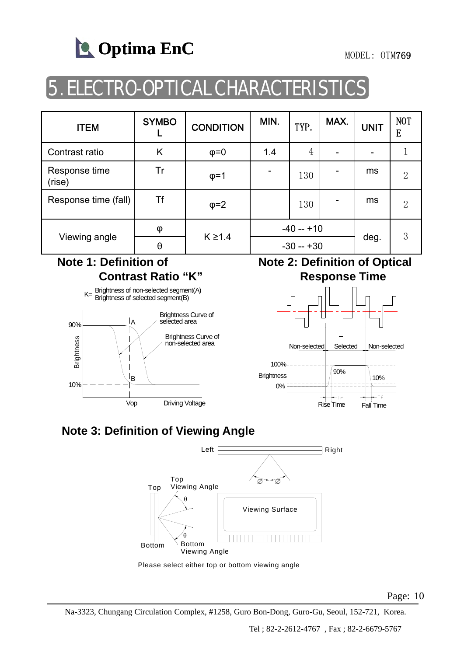

## 5. ELECTRO-OPTICAL CHARACTERISTI

| <b>ITEM</b>             | <b>SYMBO</b> | <b>CONDITION</b> | MIN.        | TYP. | MAX. | <b>UNIT</b> | NOT<br>E       |
|-------------------------|--------------|------------------|-------------|------|------|-------------|----------------|
| Contrast ratio          | Κ            | $\varphi = 0$    | 1.4         | 4    |      |             |                |
| Response time<br>(rise) | Tr           | $\varphi = 1$    |             | 130  |      | ms          | 2              |
| Response time (fall)    | Τf           | $\varphi = 2$    |             | 130  |      | ms          | $\overline{2}$ |
|                         | φ            | $K \geq 1.4$     | $-40 - +10$ |      |      |             | 3              |
| Viewing angle           | θ            |                  | $-30 - +30$ |      |      | deg.        |                |

#### **Note 1: Definition of Contrast Ratio "K"**



#### **Note 2: Definition of Optical Response Time**



### **Note 3: Definition of Viewing Angle**



Please select either top or bottom viewing angle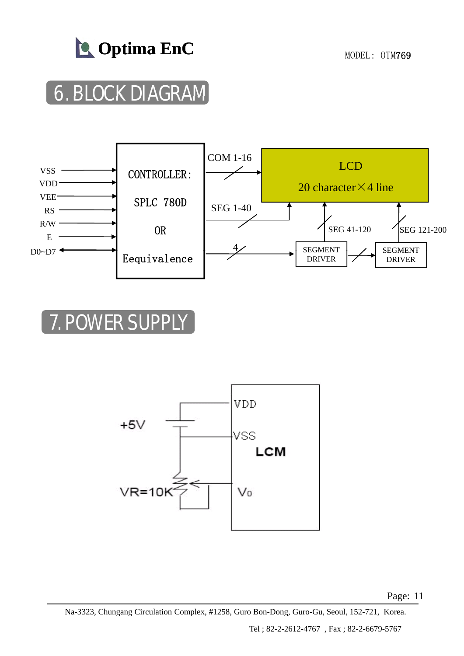

# **6. BLOCK DIAGRAM**



## **7. POWER SUPPL**

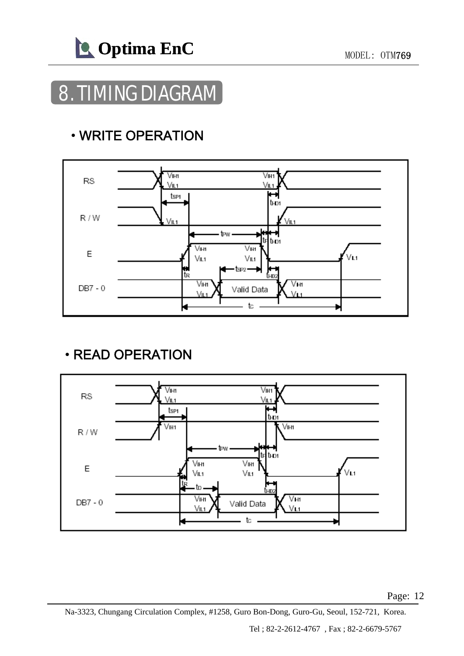

### 8. TIMING DIAGRAM

### • WRITE OPERATION



### • READ OPERATION

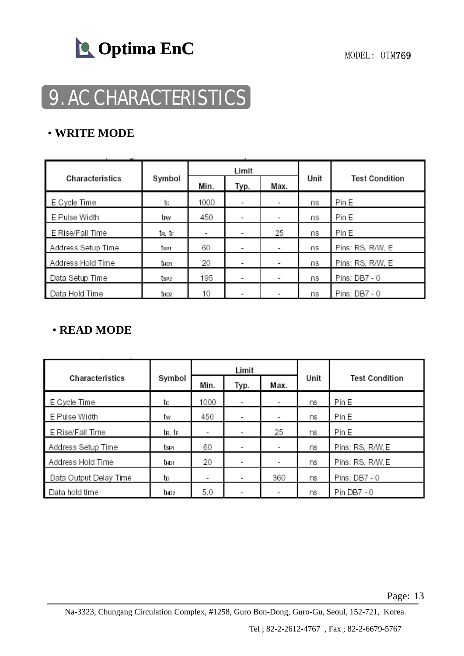

# 9. AC CHARACTERISTICS

#### • **WRITE MODE**

|                    |                  | Limit                    |                          |    | <b>Test Condition</b> |                  |
|--------------------|------------------|--------------------------|--------------------------|----|-----------------------|------------------|
| Characteristics    | Symbol           | Min.                     | Max.<br>Typ.             |    |                       |                  |
| E Cycle Time       | tc               | 1000                     | ٠                        | -  | ns                    | Pin E            |
| E Pulse Width      | tew              | 450                      | ٠                        | -  | ns                    | Pin E            |
| E Rise/Fall Time   | tr, tr           | $\overline{\phantom{a}}$ | $\overline{\phantom{a}}$ | 25 | ns                    | Pin E            |
| Address Setup Time | tse1.            | 60                       | ٠                        | ٠  | ns                    | Pins: RS, R/W, E |
| Address Hold Time  | the <sub>1</sub> | 20                       | ٠                        | ٠  | ns                    | Pins: RS, R/W, E |
| Data Setup Time    | tse2             | 195                      | ٠                        | ۰  | ns                    | Pins: DB7 - 0    |
| Data Hold Time     | Ъюz              | 10                       | ٠                        | -  | ns                    | Pins: DB7 - 0    |

### • **READ MODE READ**

|                        | Symbol           |                          | Limit                    |      |      |                       |  |
|------------------------|------------------|--------------------------|--------------------------|------|------|-----------------------|--|
| Characteristics        |                  | Min.                     | Typ.                     | Max. | Unit | <b>Test Condition</b> |  |
| E Cycle Time           | tc               | 1000                     | $\overline{\phantom{a}}$ | ٠    | ns   | Pin E                 |  |
| E Pulse Width          | tw               | 450                      | $\overline{\phantom{a}}$ | -    | ns   | Pin E                 |  |
| E Rise/Fall Time       | tr, tr           | $\overline{\phantom{a}}$ |                          | 25   | ns   | Pin E                 |  |
| Address Setup Time     | tser             | 60                       |                          | ٠    | ns   | Pins: RS, R/W, E      |  |
| Address Hold Time      | thos             | 20                       | $\overline{\phantom{0}}$ | ٠    | ns   | Pins: RS, R/W, E      |  |
| Data Output Delay Time | to               | ۰                        | $\overline{\phantom{a}}$ | 360  | ns   | Pins: DB7 - 0         |  |
| Data hold time         | t <sub>HD2</sub> | 5.0                      |                          | -    | ns   | Pin DB7 - 0           |  |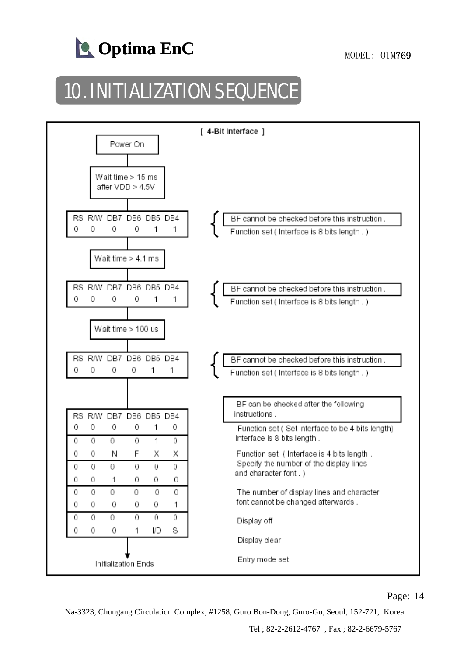

# 10. INITIALIZATION SEQUENCE

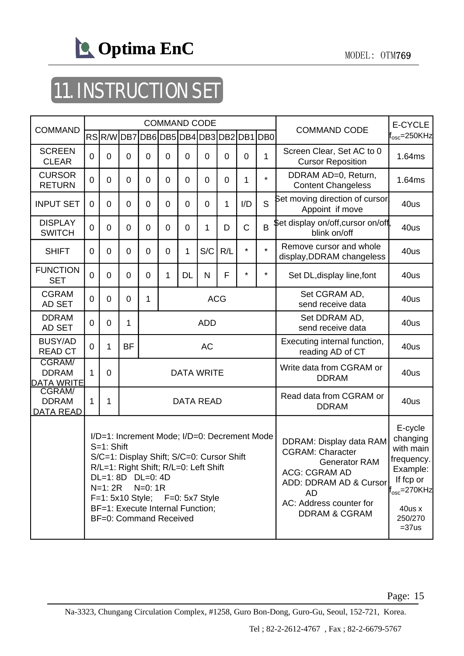

# 11. INSTRUCTION SET

| <b>COMMAND</b>                                     | <b>COMMAND CODE</b>                                                                                                                                                                                                                                                                           |                |                |                  |                |                |                               |                | <b>COMMAND CODE</b>                                                                                                                                                                              | E-CYCLE                                                                                                                                       |                                                       |                            |
|----------------------------------------------------|-----------------------------------------------------------------------------------------------------------------------------------------------------------------------------------------------------------------------------------------------------------------------------------------------|----------------|----------------|------------------|----------------|----------------|-------------------------------|----------------|--------------------------------------------------------------------------------------------------------------------------------------------------------------------------------------------------|-----------------------------------------------------------------------------------------------------------------------------------------------|-------------------------------------------------------|----------------------------|
|                                                    |                                                                                                                                                                                                                                                                                               |                |                |                  |                |                | RSR/WDB7DB6DB5DB4DB3DB2DB1DB0 |                |                                                                                                                                                                                                  |                                                                                                                                               |                                                       | $\mathsf{f_{osc}}$ =250KHz |
| <b>SCREEN</b><br><b>CLEAR</b>                      | 0                                                                                                                                                                                                                                                                                             | $\overline{0}$ | $\mathbf 0$    | $\overline{0}$   | $\overline{0}$ | $\overline{0}$ | $\mathbf 0$                   | $\overline{0}$ | $\mathbf 0$                                                                                                                                                                                      | $\mathbf{1}$                                                                                                                                  | Screen Clear, Set AC to 0<br><b>Cursor Reposition</b> | 1.64ms                     |
| <b>CURSOR</b><br><b>RETURN</b>                     | 0                                                                                                                                                                                                                                                                                             | $\overline{0}$ | $\overline{0}$ | $\overline{0}$   | $\overline{0}$ | $\overline{0}$ | $\mathbf 0$                   | $\overline{0}$ | 1                                                                                                                                                                                                | $\star$                                                                                                                                       | DDRAM AD=0, Return,<br><b>Content Changeless</b>      | 1.64ms                     |
| <b>INPUT SET</b>                                   | $\Omega$                                                                                                                                                                                                                                                                                      | $\mathbf 0$    | $\overline{0}$ | $\overline{0}$   | $\overline{0}$ | $\overline{0}$ | $\Omega$                      | $\mathbf{1}$   | I/D                                                                                                                                                                                              | S                                                                                                                                             | Set moving direction of cursor<br>Appoint if move     | 40us                       |
| <b>DISPLAY</b><br><b>SWITCH</b>                    | $\Omega$                                                                                                                                                                                                                                                                                      | $\overline{0}$ | $\overline{0}$ | $\overline{0}$   | $\overline{0}$ | $\overline{0}$ | 1                             | D              | $\mathsf C$                                                                                                                                                                                      | B                                                                                                                                             | \$et display on/off,cursor on/off,<br>blink on/off    | 40us                       |
| <b>SHIFT</b>                                       | $\Omega$                                                                                                                                                                                                                                                                                      | $\overline{0}$ | $\overline{0}$ | $\overline{0}$   | $\overline{0}$ | $\mathbf{1}$   | S/C                           | R/L            | $\star$                                                                                                                                                                                          | $\star$                                                                                                                                       | Remove cursor and whole<br>display, DDRAM changeless  | 40us                       |
| <b>FUNCTION</b><br><b>SET</b>                      | $\overline{0}$                                                                                                                                                                                                                                                                                | $\overline{0}$ | $\overline{0}$ | $\overline{0}$   | 1              | <b>DL</b>      | N                             | F              | $\star$                                                                                                                                                                                          | $\star$                                                                                                                                       | Set DL, display line, font                            | 40us                       |
| <b>CGRAM</b><br>AD SET                             | $\overline{0}$                                                                                                                                                                                                                                                                                | $\overline{0}$ | $\overline{0}$ | 1<br><b>ACG</b>  |                |                |                               |                |                                                                                                                                                                                                  |                                                                                                                                               | Set CGRAM AD,<br>send receive data                    | 40us                       |
| <b>DDRAM</b><br>AD SET                             | $\overline{0}$                                                                                                                                                                                                                                                                                | 0              | 1              | <b>ADD</b>       |                |                |                               |                |                                                                                                                                                                                                  |                                                                                                                                               | Set DDRAM AD,<br>send receive data                    | 40us                       |
| <b>BUSY/AD</b><br><b>READ CT</b>                   | $\Omega$                                                                                                                                                                                                                                                                                      | 1              | <b>BF</b>      | <b>AC</b>        |                |                |                               |                |                                                                                                                                                                                                  |                                                                                                                                               | Executing internal function,<br>reading AD of CT      | 40us                       |
| <b>CGRAM/</b><br><b>DDRAM</b><br><b>DATA WRITE</b> | 1                                                                                                                                                                                                                                                                                             | $\overline{0}$ |                |                  |                |                | <b>DATA WRITE</b>             |                |                                                                                                                                                                                                  | Write data from CGRAM or<br><b>DDRAM</b>                                                                                                      | 40us                                                  |                            |
| <b>CGRAM/</b><br><b>DDRAM</b><br>DATA READ         | 1                                                                                                                                                                                                                                                                                             | 1              |                | <b>DATA READ</b> |                |                |                               |                |                                                                                                                                                                                                  |                                                                                                                                               | Read data from CGRAM or<br><b>DDRAM</b>               | 40us                       |
|                                                    | I/D=1: Increment Mode; I/D=0: Decrement Mode<br>S=1: Shift<br>S/C=1: Display Shift; S/C=0: Cursor Shift<br>R/L=1: Right Shift; R/L=0: Left Shift<br>DL=1: 8D DL=0: 4D<br>N=1: 2R<br>$N=0:1R$<br>F=1: 5x10 Style; F=0: 5x7 Style<br>BF=1: Execute Internal Function;<br>BF=0: Command Received |                |                |                  |                |                |                               |                | DDRAM: Display data RAM<br><b>CGRAM: Character</b><br><b>Generator RAM</b><br><b>ACG: CGRAM AD</b><br>ADD: DDRAM AD & Cursor<br><b>AD</b><br>AC: Address counter for<br><b>DDRAM &amp; CGRAM</b> | E-cycle<br>changing<br>with main<br>frequency.<br>Example:<br>If fcp or<br>$\textsf{ff}_{\text{osc}}$ =270KHz<br>40us x<br>250/270<br>$=37us$ |                                                       |                            |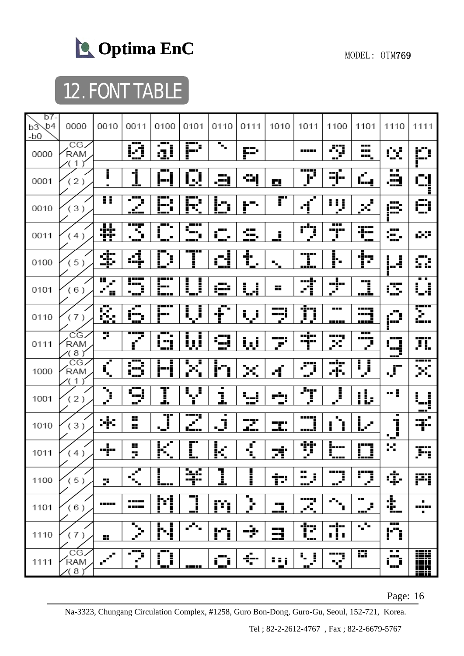

# 12. FONT TABLE

| b7-<br>b <sub>4</sub><br>b3<br>$-b0$ | 0000                      | 0010                | 0011                            | 0100                    | 0101                                    | 0110                              | 0111                  | 1010                    | 1011                            | 1100                               | 1101                             | 1110                       | 1111            |
|--------------------------------------|---------------------------|---------------------|---------------------------------|-------------------------|-----------------------------------------|-----------------------------------|-----------------------|-------------------------|---------------------------------|------------------------------------|----------------------------------|----------------------------|-----------------|
| 0000                                 | CG<br>RAM<br>$\mathbf 1$  |                     | Ø                               | ā                       | P                                       | $\overline{\mathbf{u}}_{\bullet}$ | P                     |                         | -----                           | Ş                                  | ---<br><b>HILL</b><br><b>HH</b>  | œ                          | ۲Ĵ              |
| 0001                                 | (2)                       | i                   | <u>1</u>                        | - 1<br>i−'i             | - -<br>Q                                | "≕,                               | 식                     | Ω,                      | Ţ                               | $\overline{\mathbf{m}}$<br>्रो     | $\mathcal{C}_{\mathcal{A}}$<br>i | . .<br>æ                   | гŀ              |
| 0010                                 | (3)                       | π                   | ---<br>Ŧ                        | E<br>ł                  | Ē<br>F                                  | h<br>ï                            | ļ.                    | r                       | п<br>$\blacksquare$<br>ď        | I<br>f,<br>$\mathcal{F}$           | $\mathbb{R}^2$                   | Æ                          | €               |
| 0011                                 | (4)                       | 菲                   | Ŧ<br>п<br>۰.                    | ╍<br>▄                  |                                         | - 1<br>ī<br>$\blacksquare$        | $\blacksquare$<br>- - | <u>j</u>                | ņ                               | ---<br>-----<br>i                  | 弫<br>┲                           | æ,                         | ŵΡ              |
| 0100                                 | (5)                       | ¢                   | d                               | þ<br>Ĺ                  | j                                       | <u>сі</u>                         | t<br>$\blacksquare$   | $\mathbf{r}_\mathrm{a}$ | -----<br>į<br>min               | <br> -                             | <u>†2</u>                        | Ļ.                         | Ω               |
| 0101                                 | (6)                       | H<br>×.<br>J.<br>88 | <b>----</b><br>8. <u>.</u><br>Ē | į.,                     | l<br>İ                                  | g56                               | W                     | 88                      | 刁                               | $\Phi$                             | <u>]</u>                         | ---<br>Œ                   | Å<br>ŀ          |
| 0110                                 | (7)                       | Š.                  | т<br>٠<br>ŧ,                    | تتضير<br>j.             | Ų                                       | --<br>Ť<br>▬                      | ار ا                  | --<br>—-- j<br>a.       | 芀                               | ---<br>-----                       | ----<br>mğ<br>. <del>. .</del>   | ш<br>Ø                     | T<br>i — 1 s    |
| 0111                                 | CG<br>RAM<br>(8)          | 7                   | ----<br>J.<br>$\mathbf{f}$      | --<br>---               | į<br>Ļ,                                 | g                                 | <u>i, i</u>           | P                       | ;<br>ᅻ                          | <br>×                              | $\overline{\phantom{a}}$<br>ņ    | IJ,<br>---                 | Ţμ              |
| 1000                                 | CG<br>RAM<br>$\mathbf{1}$ | $\vec{r}$           | ---<br>Ŧ<br>ļ.<br>ý             | i                       | Η<br>Ê,                                 | ŀ<br>--<br>Ι                      | ×                     | ď                       | .''i<br>$\mathbf{e}^\mathbf{r}$ | ēķ<br>Æ.                           | $\overline{\mathbf{J}}$<br>ſ     | $\mathcal{F}% _{0}$        | σ.              |
| 1001                                 | (2)                       | Ţ                   | û<br>$\mathbf{r}^{\mathbf{r}}$  | I                       | $\mathbf{I}_{\mathbf{q}^{\prime}}$<br>Ĵ | J.                                | W                     | <u>ety</u>              | Ţ                               | $\overline{\mathbf{J}}$            | <u>ii,</u>                       | -:                         | i<br>j          |
| 1010                                 | (3)<br>$\mathcal{Y}$      | ÷                   | x<br>8                          | ---<br>Ţ.               | ----<br><u> 1 — 1 1 </u>                | ٠<br>Ĵ<br>۰.                      | <u>ру:</u>            | ---<br>ΞĽ.              | <b>TETEL</b><br>ww              | i                                  | Ŀ                                | $\blacksquare$<br>Ï<br>آبي | Ţ.              |
| 1011                                 | (4)                       |                     | 8<br>þ,                         | K<br>$\blacksquare$     | I                                       | $\overline{\mathbb{R}}$           | $\overline{\vec{z}}$  | 球                       | Ţ                               | į                                  | <u>n</u>                         | ×                          | Fi              |
| 1100                                 | (5)                       | þ,                  | $\mathbf{r}$<br>п<br>۰.,        |                         | Ķ                                       | <u>]</u>                          | j                     | Þ                       | <br>$\mathbb{Z}^1$              | ----;<br>$\mathbf{r}^{\mathbf{r}}$ | ņ                                | ¢                          | P               |
| 1101                                 | (6)                       | -----               | ----<br>----                    | M                       | <u>n</u>                                | P                                 | <u>ን</u>              | <u>.</u>                | 77<br>УR,                       | $\sigma_{\rm{th}}$<br>П            | <br>ê,<br>---                    | t.                         | ٠<br>,,,,,<br>٠ |
| 1110                                 | (7)                       | н.                  | ▬<br>$\mathcal{P}$              | N                       | 75                                      | <u>l''i</u>                       | ÷                     | 3                       | Ť.                              | --!--<br>$\overline{1}$            | $\sqrt{s}$                       | ---<br>ŀ٦                  |                 |
| 1111                                 | CG<br>RAM<br>8)           | $\mathcal{L}$       | - 77<br>Ź,                      | ш<br>Ì<br>$\frac{1}{2}$ | ----                                    | <u>іДі</u>                        | ÷                     | 88 j<br>$\blacksquare$  | ÷,<br>Ĵ.<br>⊷″                  | -----<br>н<br>52<br>▬              | H                                | . .<br>Ö                   | <b>THE</b>      |

Page: 16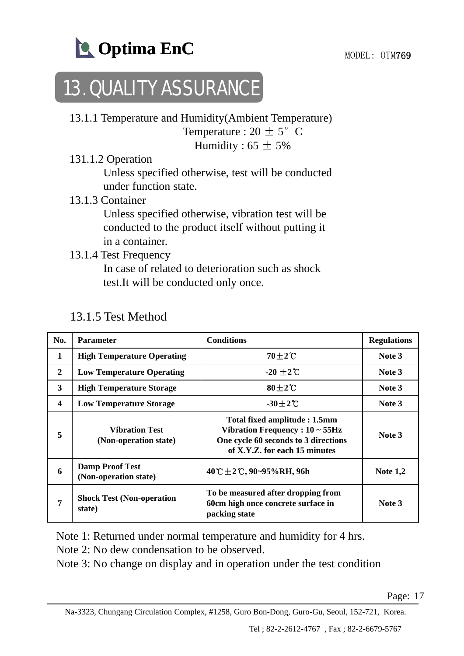

## 13. QUALITY ASSURANCE

- 13.1.1 Temperature and Humidity(Ambient Temperature) Temperature :  $20 \pm 5^{\circ}$  C Humidity :  $65 \pm 5\%$
- 131.1.2 Operation

Unless specified otherwise, test will be conducted under function state.

13.1.3 Container

Unless specified otherwise, vibration test will be conducted to the product itself without putting it in a container.

13.1.4 Test Frequency

In case of related to deterioration such as shock test.It will be conducted only once.

| No.                     | <b>Parameter</b>                                | <b>Conditions</b>                                                                                                                              | <b>Regulations</b> |
|-------------------------|-------------------------------------------------|------------------------------------------------------------------------------------------------------------------------------------------------|--------------------|
| $\mathbf{1}$            | <b>High Temperature Operating</b>               | $70\pm2$ °C                                                                                                                                    | Note 3             |
| $\mathbf{2}$            | <b>Low Temperature Operating</b>                | $-20 \pm 2$ °C                                                                                                                                 | Note 3             |
| 3                       | <b>High Temperature Storage</b>                 | $80\pm2\degree$                                                                                                                                | Note 3             |
| $\overline{\mathbf{4}}$ | <b>Low Temperature Storage</b>                  | $-30\pm2$ C                                                                                                                                    | Note 3             |
| 5                       | <b>Vibration Test</b><br>(Non-operation state)  | Total fixed amplitude: 1.5mm<br>Vibration Frequency : $10 \sim 55$ Hz<br>One cycle 60 seconds to 3 directions<br>of X.Y.Z. for each 15 minutes | Note 3             |
| 6                       | <b>Damp Proof Test</b><br>(Non-operation state) | 40 °C ± 2 °C, 90~95% RH, 96h                                                                                                                   | Note $1,2$         |
| 7                       | <b>Shock Test (Non-operation</b><br>state)      | To be measured after dropping from<br>60cm high once concrete surface in<br>packing state                                                      | Note 3             |

#### 13.1.5 Test Method

Note 1: Returned under normal temperature and humidity for 4 hrs.

Note 2: No dew condensation to be observed.

Note 3: No change on display and in operation under the test condition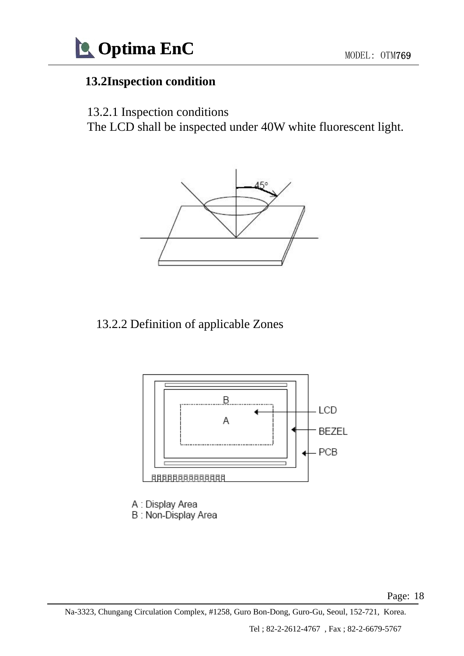

### **13.2Inspection condition**

13.2.1 Inspection conditions

The LCD shall be inspected under 40W white fluorescent light.



### 13.2.2 Definition of applicable Zones 13.2.2 Definition of applicable



A : Display Area B: Non-Display Area

Page: 18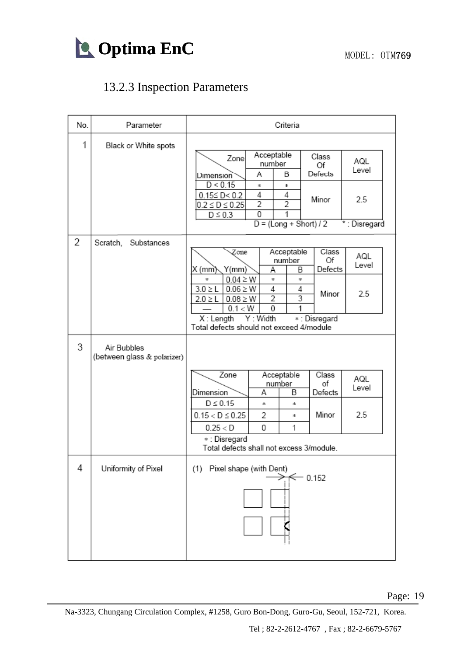

### 13.2.3 Inspection Parameters

| No. | Parameter                                  | Criteria                                                                                                                                                                                                                                                                                                                                                                                       |  |  |  |  |  |
|-----|--------------------------------------------|------------------------------------------------------------------------------------------------------------------------------------------------------------------------------------------------------------------------------------------------------------------------------------------------------------------------------------------------------------------------------------------------|--|--|--|--|--|
| 1   | Black or White spots                       | Acceptable<br>Class<br>Zone<br>AQL<br>number<br>Of<br>Level<br>Defects<br>Α<br>В<br><b>Dimension</b><br>D < 0.15<br>*<br>*<br>4<br>4<br>$0.15 \leq D < 0.2$<br>Minor<br>2.5<br>$\overline{2}$<br>$\overline{2}$<br>$0.2 \le D \le 0.25$<br>0<br>$D \leq 0.3$<br>$D = (Long + Short)/2$<br>*: Disregard                                                                                         |  |  |  |  |  |
| 2   | Scratch,<br>Substances                     | Class<br>Acceptable<br>Zone<br>AQL<br>number<br>Of<br>Level<br>Y(mm)<br>X (mm̀)<br>B<br>Defects<br>Α<br>$0.04 \ge W$<br>*<br>$\ast$<br>$\ast$<br>$0.06 \geq W$<br>4<br>$3.0 \geq L$<br>4<br>Minor<br>2.5<br>$\overline{2}$<br>$\overline{\overline{3}}$<br>$2.0 \geq L$<br>$0.08 \ge W$<br>0<br>0.1 < W<br>1<br>X: Length Y: Width<br>*: Disregard<br>Total defects should not exceed 4/module |  |  |  |  |  |
| 3   | Air Bubbles<br>(between glass & polarizer) | Zone<br>Acceptable<br>Class<br>AQL<br>of<br>number<br>Level<br>Α<br>B<br>Defects<br>Dimension<br>$D \leq 0.15$<br>$\ast$<br>宋.<br>Minor<br>2.5<br>2<br>$0.15 < D \le 0.25$<br>*.<br>0<br>0.25 < D<br>1<br>∗ : Disregard<br>Total defects shall not excess 3/module.                                                                                                                            |  |  |  |  |  |
| 4   | Uniformity of Pixel                        | (1) Pixel shape (with Dent)<br>$-0.152$                                                                                                                                                                                                                                                                                                                                                        |  |  |  |  |  |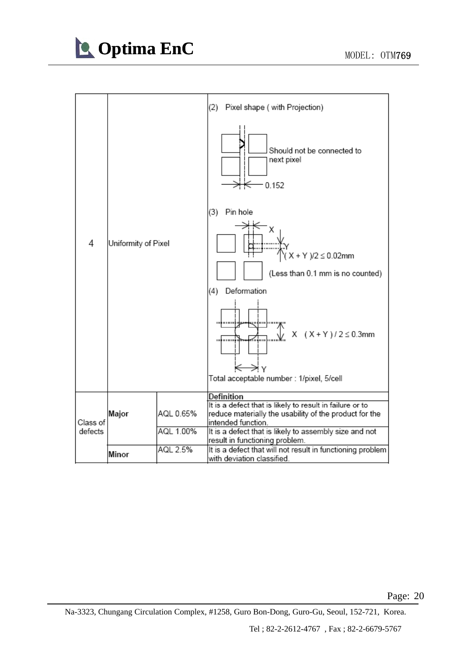

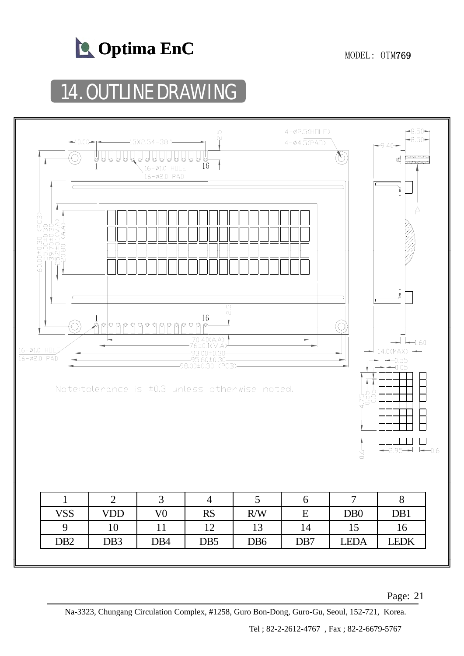

## **14. OUTLINE DRAWING**

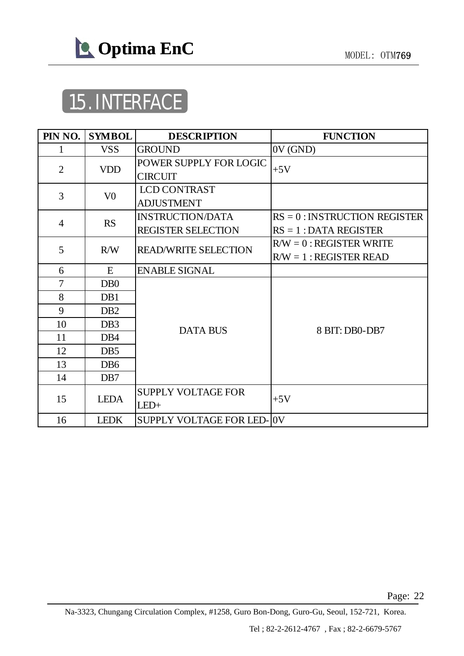

# 15. INTERFACE

| PIN NO.        | <b>SYMBOL</b>               | <b>DESCRIPTION</b>                                   | <b>FUNCTION</b>                                             |
|----------------|-----------------------------|------------------------------------------------------|-------------------------------------------------------------|
| 1              | <b>VSS</b>                  | <b>GROUND</b>                                        | 0V(GND)                                                     |
| $\overline{2}$ | <b>VDD</b>                  | POWER SUPPLY FOR LOGIC<br><b>CIRCUIT</b>             | $+5V$                                                       |
| 3              | V <sub>0</sub>              | <b>LCD CONTRAST</b><br><b>ADJUSTMENT</b>             |                                                             |
| 4              | <b>RS</b>                   | <b>INSTRUCTION/DATA</b><br><b>REGISTER SELECTION</b> | $RS = 0$ : INSTRUCTION REGISTER<br>$RS = 1$ : DATA REGISTER |
| 5              | R/W                         | <b>READ/WRITE SELECTION</b>                          | $R/W = 0$ : REGISTER WRITE<br>$R/W = 1$ : REGISTER READ     |
| 6              | E                           | <b>ENABLE SIGNAL</b>                                 |                                                             |
| $\overline{7}$ | D <sub>B</sub> <sup>0</sup> |                                                      |                                                             |
| 8              | D <sub>B1</sub>             |                                                      |                                                             |
| 9              | D <sub>B2</sub>             |                                                      |                                                             |
| 10             | DB <sub>3</sub>             | <b>DATA BUS</b>                                      | 8 BIT: DB0-DB7                                              |
| 11             | D <sub>B4</sub>             |                                                      |                                                             |
| 12             | D <sub>B5</sub>             |                                                      |                                                             |
| 13             | DB <sub>6</sub>             |                                                      |                                                             |
| 14             | D <sub>B7</sub>             |                                                      |                                                             |
| 15             | <b>LEDA</b>                 | <b>SUPPLY VOLTAGE FOR</b><br>$LED+$                  | $+5V$                                                       |
| 16             | <b>LEDK</b>                 | SUPPLY VOLTAGE FOR LED-0V                            |                                                             |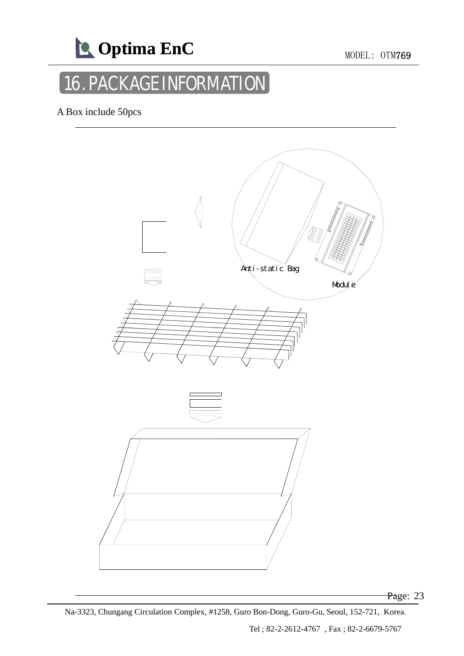

## 16. PACKAGE INFORMATION

A Box include 50pcs

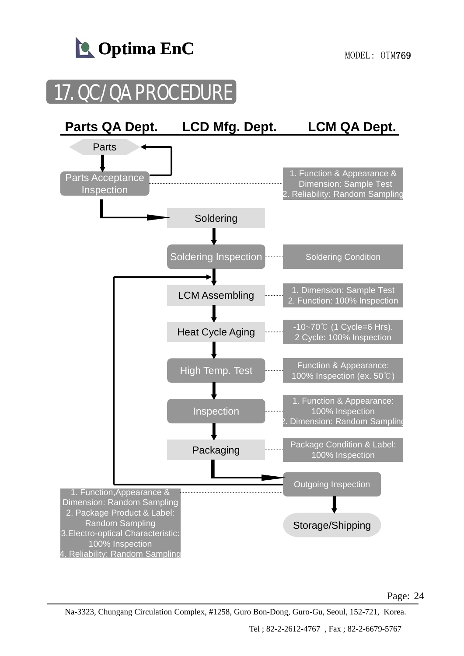

## 17. QC/QA PROCEDURE

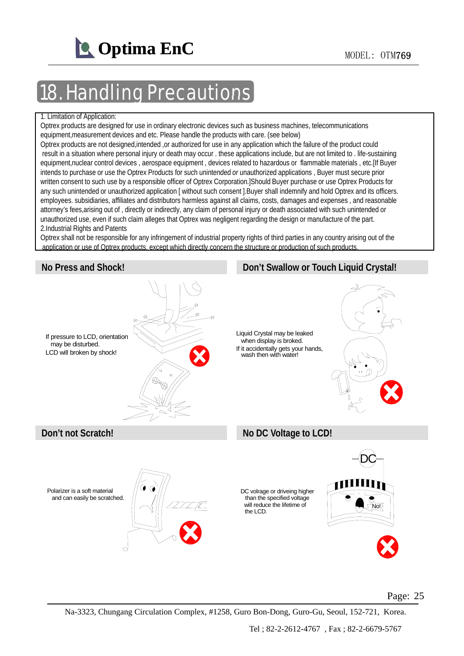

## **Handling Precautions**

#### 1. Limitation of Application:

Optrex products are designed for use in ordinary electronic devices such as business machines, telecommunications equipment,measurement devices and etc. Please handle the products with care. (see below)

Optrex products are not designed,intended ,or authorized for use in any application which the failure of the product could result in a situation where personal injury or death may occur . these applications include, but are not limited to . life-sustaining equipment,nuclear control devices , aerospace equipment , devices related to hazardous or flammable materials , etc.[If Buyer intends to purchase or use the Optrex Products for such unintended or unauthorized applications, Buyer must secure prior written consent to such use by a responsible officer of Optrex Corporation.]Should Buyer purchase or use Optrex Products for any such unintended or unauthorized application [ without such consent ].Buyer shall indemnify and hold Optrex and its officers. employees. subsidiaries, affiliates and distributors harmless against all claims, costs, damages and expenses , and reasonable attorney's fees,arising out of , directly or indirectly, any claim of personal injury or death associated with such unintended or unauthorized use, even if such claim alleges that Optrex was negligent regarding the design or manufacture of the part. 2.Industrial Rights and Patents

Optrex shall not be responsible for any infringement of industrial property rights of third parties in any country arising out of the application or use of Optrex products, except which directly concern the structure or production of such products

#### **No Press and Shock! Don't Swallow or Touch Liquid Crystal!**

### If pressure to LCD, orientation may be disturbed. LCD will broken by shock! Liquid Crystal may be leaked when display is broked. If it accidentally gets your hands, wash then with water! **Don't not Scratch! No DC Voltage to LCD!** DC Polarizer is a soft material and can easily be scratched. No! DC volrage or driveing higher than the specified voltage will reduce the lifetime of the LCD.

#### Page: 25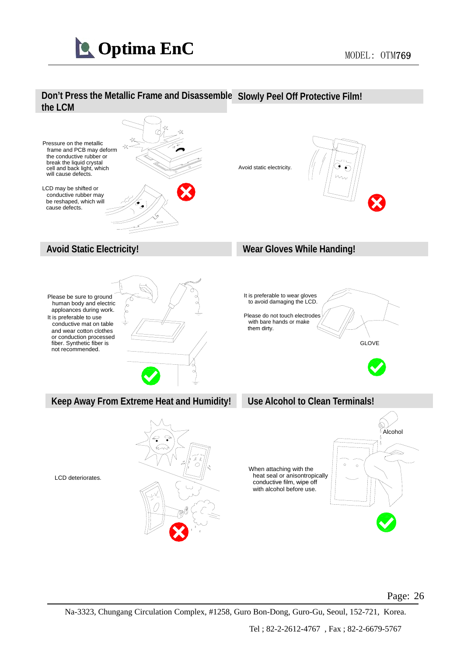



### Page: 26